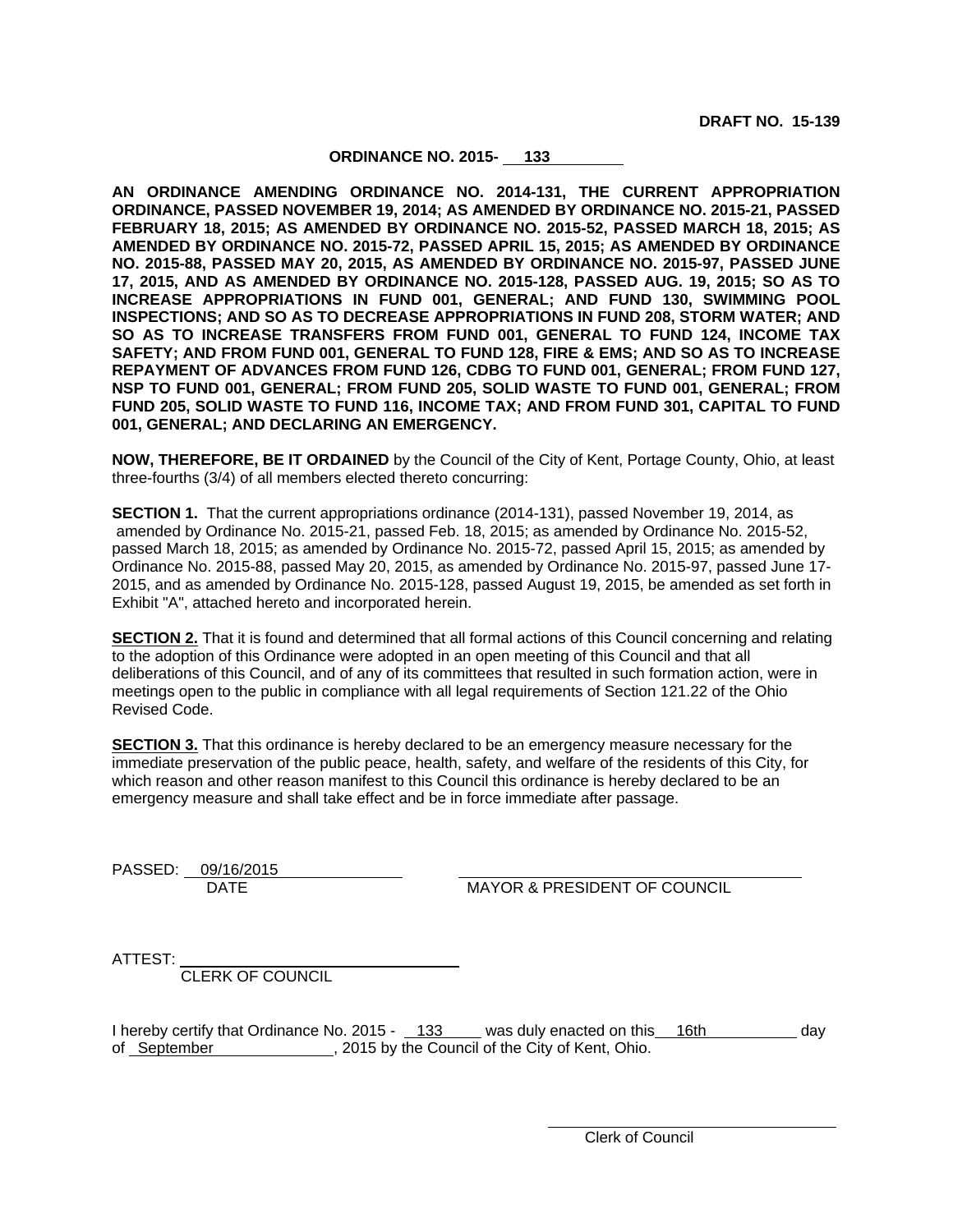**DRAFT NO. 15-139**

# **ORDINANCE NO. 2015- 133**

**AN ORDINANCE AMENDING ORDINANCE NO. 2014-131, THE CURRENT APPROPRIATION ORDINANCE, PASSED NOVEMBER 19, 2014; AS AMENDED BY ORDINANCE NO. 2015-21, PASSED FEBRUARY 18, 2015; AS AMENDED BY ORDINANCE NO. 2015-52, PASSED MARCH 18, 2015; AS AMENDED BY ORDINANCE NO. 2015-72, PASSED APRIL 15, 2015; AS AMENDED BY ORDINANCE NO. 2015-88, PASSED MAY 20, 2015, AS AMENDED BY ORDINANCE NO. 2015-97, PASSED JUNE 17, 2015, AND AS AMENDED BY ORDINANCE NO. 2015-128, PASSED AUG. 19, 2015; SO AS TO INCREASE APPROPRIATIONS IN FUND 001, GENERAL; AND FUND 130, SWIMMING POOL INSPECTIONS; AND SO AS TO DECREASE APPROPRIATIONS IN FUND 208, STORM WATER; AND SO AS TO INCREASE TRANSFERS FROM FUND 001, GENERAL TO FUND 124, INCOME TAX SAFETY; AND FROM FUND 001, GENERAL TO FUND 128, FIRE & EMS; AND SO AS TO INCREASE REPAYMENT OF ADVANCES FROM FUND 126, CDBG TO FUND 001, GENERAL; FROM FUND 127, NSP TO FUND 001, GENERAL; FROM FUND 205, SOLID WASTE TO FUND 001, GENERAL; FROM FUND 205, SOLID WASTE TO FUND 116, INCOME TAX; AND FROM FUND 301, CAPITAL TO FUND 001, GENERAL; AND DECLARING AN EMERGENCY.**

**NOW, THEREFORE, BE IT ORDAINED** by the Council of the City of Kent, Portage County, Ohio, at least three-fourths (3/4) of all members elected thereto concurring:

**SECTION 1.** That the current appropriations ordinance (2014-131), passed November 19, 2014, as amended by Ordinance No. 2015-21, passed Feb. 18, 2015; as amended by Ordinance No. 2015-52, passed March 18, 2015; as amended by Ordinance No. 2015-72, passed April 15, 2015; as amended by Ordinance No. 2015-88, passed May 20, 2015, as amended by Ordinance No. 2015-97, passed June 17- 2015, and as amended by Ordinance No. 2015-128, passed August 19, 2015, be amended as set forth in Exhibit "A", attached hereto and incorporated herein.

**SECTION 2.** That it is found and determined that all formal actions of this Council concerning and relating to the adoption of this Ordinance were adopted in an open meeting of this Council and that all deliberations of this Council, and of any of its committees that resulted in such formation action, were in meetings open to the public in compliance with all legal requirements of Section 121.22 of the Ohio Revised Code.

**SECTION 3.** That this ordinance is hereby declared to be an emergency measure necessary for the immediate preservation of the public peace, health, safety, and welfare of the residents of this City, for which reason and other reason manifest to this Council this ordinance is hereby declared to be an emergency measure and shall take effect and be in force immediate after passage.

PASSED: 09/16/2015

DATE MAYOR & PRESIDENT OF COUNCIL

ATTEST:

CLERK OF COUNCIL

I hereby certify that Ordinance No. 2015 - 133 was duly enacted on this 16th day of September , 2015 by the Council of the City of Kent, Ohio.

Clerk of Council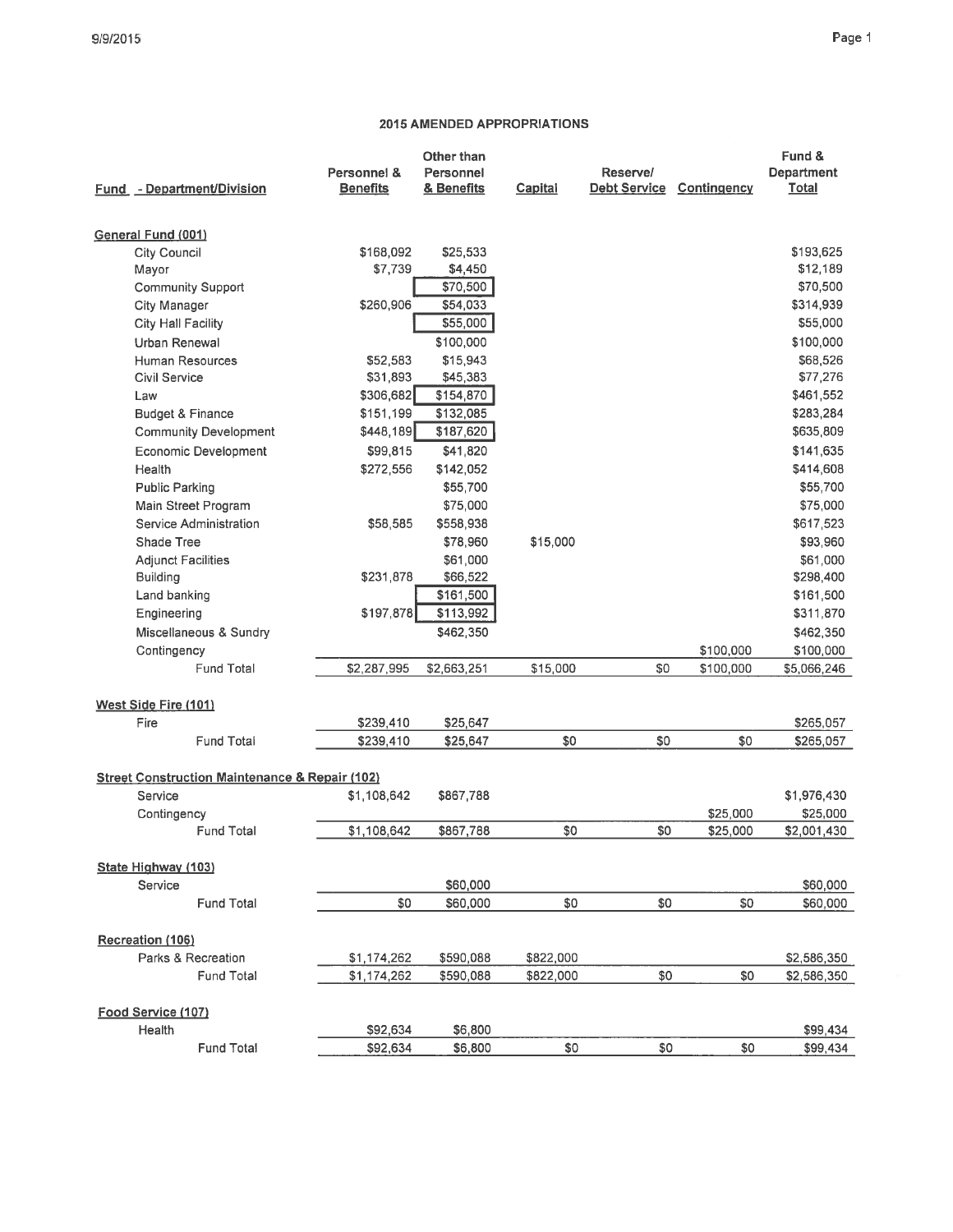# Page 1

|                                                           |                 | Other than             |           |                     |             | Fund &            |
|-----------------------------------------------------------|-----------------|------------------------|-----------|---------------------|-------------|-------------------|
|                                                           | Personnel &     | Personnel              |           | Reserve/            |             | <b>Department</b> |
| Fund - Department/Division                                | <b>Benefits</b> | & Benefits             | Capital   | <b>Debt Service</b> | Contingency | <b>Total</b>      |
|                                                           |                 |                        |           |                     |             |                   |
| General Fund (001)                                        |                 |                        |           |                     |             |                   |
| City Council                                              | \$168,092       | \$25,533               |           |                     |             | \$193,625         |
| Mayor                                                     | \$7,739         | \$4,450                |           |                     |             | \$12,189          |
| <b>Community Support</b>                                  |                 | \$70,500               |           |                     |             | \$70,500          |
| <b>City Manager</b>                                       | \$260,906       | \$54,033               |           |                     |             | \$314,939         |
| City Hall Facility                                        |                 | \$55,000               |           |                     |             | \$55,000          |
| Urban Renewal                                             |                 | \$100,000              |           |                     |             | \$100,000         |
| Human Resources                                           | \$52,583        | \$15,943               |           |                     |             | \$68,526          |
| <b>Civil Service</b>                                      | \$31,893        | \$45,383               |           |                     |             | \$77,276          |
| Law                                                       | \$306,682       | \$154,870              |           |                     |             | \$461,552         |
| Budget & Finance                                          | \$151,199       | \$132,085              |           |                     |             | \$283,284         |
| <b>Community Development</b>                              | \$448,189       | \$187,620              |           |                     |             | \$635,809         |
| <b>Economic Development</b>                               | \$99,815        | \$41,820               |           |                     |             | \$141,635         |
| Health                                                    | \$272,556       | \$142,052              |           |                     |             | \$414,608         |
| <b>Public Parking</b>                                     |                 | \$55,700               |           |                     |             | \$55,700          |
| Main Street Program                                       |                 | \$75,000               |           |                     |             | \$75,000          |
| Service Administration<br>Shade Tree                      | \$58,585        | \$558,938              |           |                     |             | \$617,523         |
|                                                           |                 | \$78,960               | \$15,000  |                     |             | \$93,960          |
| <b>Adjunct Facilities</b>                                 | \$231,878       | \$61,000               |           |                     |             | \$61,000          |
| <b>Building</b>                                           |                 | \$66,522               |           |                     |             | \$298,400         |
| Land banking                                              | \$197,878       | \$161,500<br>\$113,992 |           |                     |             | \$161,500         |
| Engineering                                               |                 |                        |           |                     |             | \$311,870         |
| Miscellaneous & Sundry                                    |                 | \$462,350              |           |                     |             | \$462,350         |
| Contingency<br><b>Fund Total</b>                          |                 |                        |           |                     | \$100,000   | \$100,000         |
|                                                           | \$2,287,995     | \$2,663,251            | \$15,000  | \$0                 | \$100,000   | \$5,066,246       |
| West Side Fire (101)                                      |                 |                        |           |                     |             |                   |
| Fire                                                      | \$239,410       | \$25,647               |           |                     |             | \$265,057         |
| <b>Fund Total</b>                                         | \$239,410       | \$25,647               | \$0       | \$0                 | \$0         | \$265,057         |
| <b>Street Construction Maintenance &amp; Repair (102)</b> |                 |                        |           |                     |             |                   |
| Service                                                   | \$1,108,642     | \$867,788              |           |                     |             | \$1,976,430       |
| Contingency                                               |                 |                        |           |                     | \$25,000    | \$25,000          |
| <b>Fund Total</b>                                         | \$1,108,642     | \$867,788              | \$0       | \$0                 | \$25,000    | \$2,001,430       |
| State Highway (103)                                       |                 |                        |           |                     |             |                   |
| Service                                                   |                 | \$60,000               |           |                     |             | \$60,000          |
| <b>Fund Total</b>                                         | \$0             | \$60,000               | \$0       | \$0                 | \$0         | \$60,000          |
| Recreation (106)                                          |                 |                        |           |                     |             |                   |
| Parks & Recreation                                        | \$1,174,262     | \$590,088              | \$822,000 |                     |             | \$2,586,350       |
| <b>Fund Total</b>                                         | \$1,174,262     | \$590,088              | \$822,000 | \$0                 | \$0         | \$2,586,350       |
|                                                           |                 |                        |           |                     |             |                   |
| Food Service (107)                                        |                 |                        |           |                     |             |                   |
| Health                                                    | \$92,634        | \$6,800                |           |                     |             | \$99,434          |
| <b>Fund Total</b>                                         | \$92,634        | \$6,800                | \$0       | \$0                 | \$0         | \$99,434          |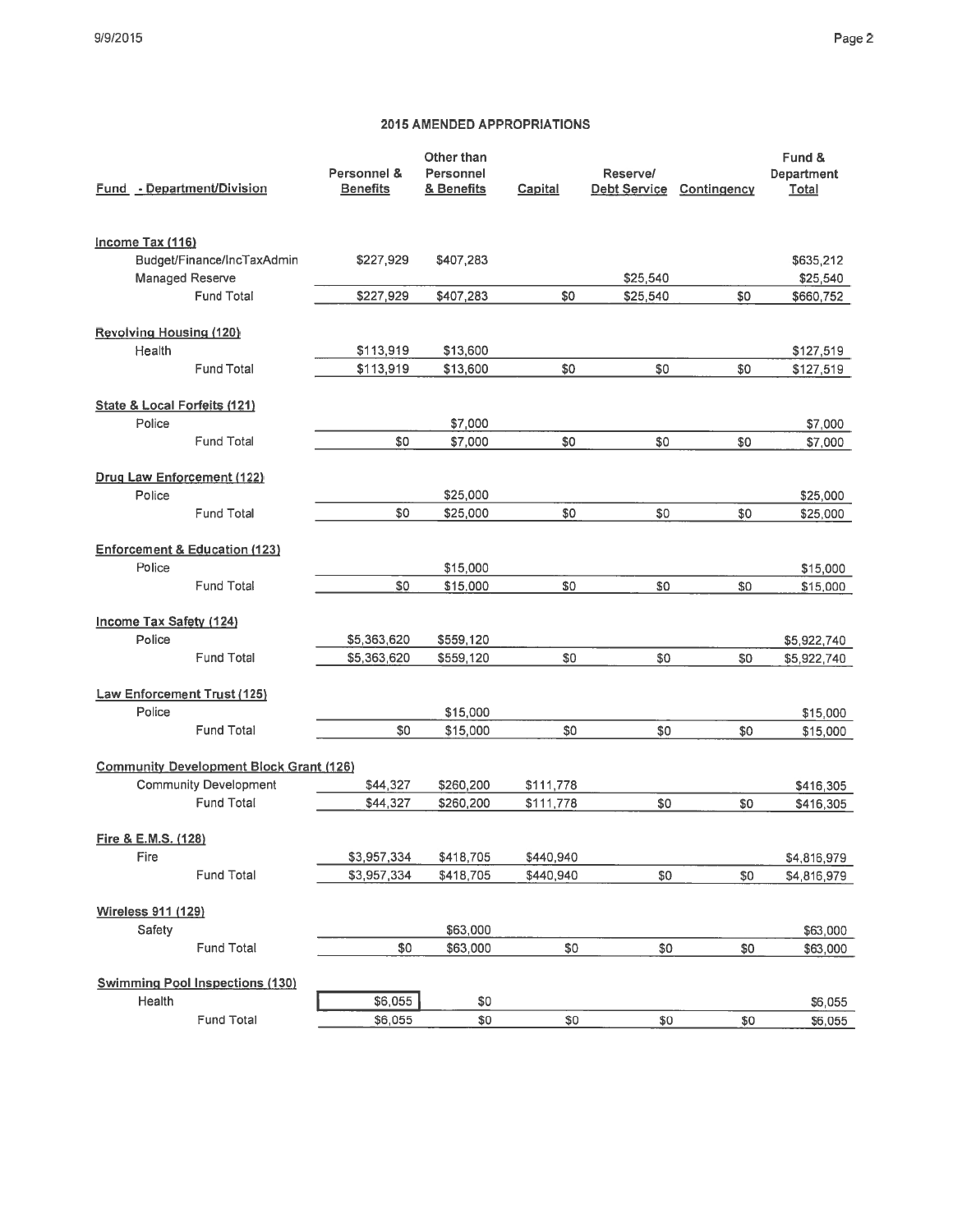| <b>Fund</b> - Department/Division              | Personnel &<br><b>Benefits</b> | Other than<br>Personnel<br>& Benefits | Capital   | Reserve/<br>Debt Service | Contingency | Fund &<br>Department<br>Total |
|------------------------------------------------|--------------------------------|---------------------------------------|-----------|--------------------------|-------------|-------------------------------|
| Income Tax (116)                               |                                |                                       |           |                          |             |                               |
| Budget/Finance/IncTaxAdmin                     | \$227,929                      | \$407,283                             |           |                          |             | \$635,212                     |
| Managed Reserve<br><b>Fund Total</b>           |                                |                                       |           | \$25,540                 |             | \$25,540                      |
|                                                | \$227,929                      | \$407,283                             | \$0       | \$25,540                 | SO.         | \$660,752                     |
| <b>Revolving Housing (120)</b>                 |                                |                                       |           |                          |             |                               |
| Health                                         | \$113,919                      | \$13,600                              |           |                          |             | \$127,519                     |
| <b>Fund Total</b>                              | \$113,919                      | \$13,600                              | \$0       | \$0                      | \$0         | \$127,519                     |
| State & Local Forfeits (121)                   |                                |                                       |           |                          |             |                               |
| Police                                         |                                | \$7,000                               |           |                          |             | \$7,000                       |
| <b>Fund Total</b>                              | \$0                            | \$7,000                               | \$0       | \$0                      | \$0         | \$7,000                       |
| Drug Law Enforcement (122)                     |                                |                                       |           |                          |             |                               |
| Police                                         |                                | \$25,000                              |           |                          |             | \$25,000                      |
| <b>Fund Total</b>                              | \$0                            | \$25,000                              | \$0       | \$0                      | \$0         | \$25,000                      |
| <b>Enforcement &amp; Education (123)</b>       |                                |                                       |           |                          |             |                               |
| Police                                         |                                | \$15,000                              |           |                          |             | \$15,000                      |
| <b>Fund Total</b>                              | \$0                            | \$15,000                              | \$0       | \$0                      | \$0         | \$15,000                      |
| Income Tax Safety (124)                        |                                |                                       |           |                          |             |                               |
| Police                                         | \$5,363,620                    | \$559,120                             |           |                          |             | \$5,922,740                   |
| <b>Fund Total</b>                              | \$5,363,620                    | \$559,120                             | \$0       | \$0                      | \$0         | \$5,922,740                   |
| <b>Law Enforcement Trust (125)</b>             |                                |                                       |           |                          |             |                               |
| Police                                         |                                | \$15,000                              |           |                          |             | \$15,000                      |
| <b>Fund Total</b>                              | \$0                            | \$15,000                              | \$0       | \$0                      | \$0         | \$15,000                      |
| <b>Community Development Block Grant (126)</b> |                                |                                       |           |                          |             |                               |
| <b>Community Development</b>                   | \$44,327                       | \$260,200                             | \$111,778 |                          |             | \$416,305                     |
| <b>Fund Total</b>                              | \$44,327                       | \$260,200                             | \$111,778 | \$0                      | \$0         | \$416,305                     |
| Fire & E.M.S. (128)                            |                                |                                       |           |                          |             |                               |
| Fire                                           | \$3,957,334                    | \$418,705                             | \$440,940 |                          |             | \$4,816,979                   |
| Fund Total                                     | \$3,957,334                    | \$418,705                             | \$440,940 | \$0                      | \$0         | \$4,816,979                   |
| Wireless 911 (129)                             |                                |                                       |           |                          |             |                               |
| Safety                                         |                                | \$63,000                              |           |                          |             | \$63,000                      |
| Fund Total                                     | \$0                            | \$63,000                              | \$0       | \$0                      | \$0         | \$63,000                      |
| <b>Swimming Pool Inspections (130)</b>         |                                |                                       |           |                          |             |                               |
| Health                                         | \$6,055                        | \$0                                   |           |                          |             | \$6,055                       |
| Fund Total                                     | \$6.055                        | \$0                                   | \$0       | \$0                      | \$0         | \$6.055                       |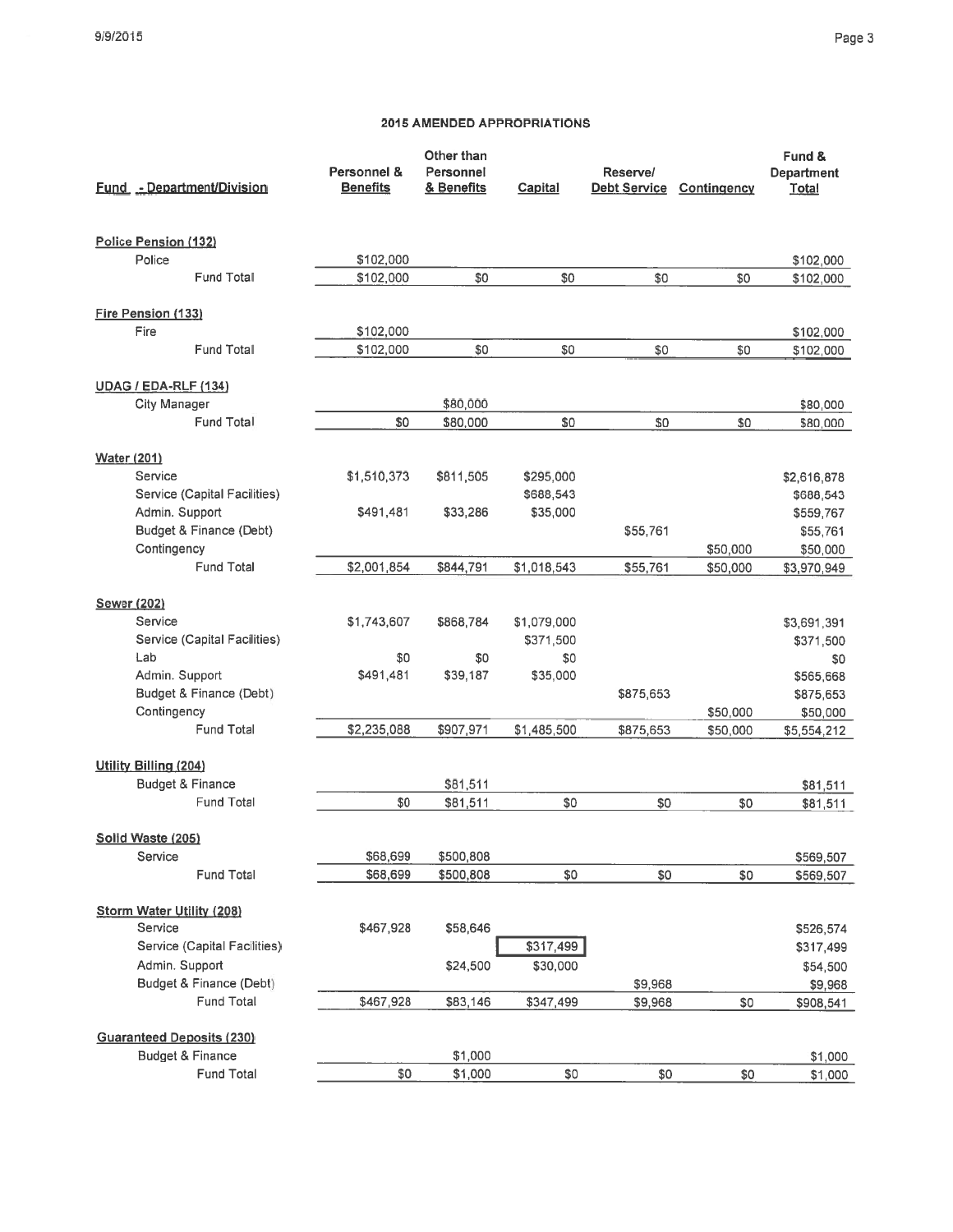# Page 3

| <b>Fund - Department/Division</b><br><b>Benefits</b><br>& Benefits<br>Capital<br><b>Debt Service</b> | Contingency<br><b>Total</b> |
|------------------------------------------------------------------------------------------------------|-----------------------------|
| Police Pension (132)                                                                                 |                             |
| Police<br>\$102,000                                                                                  | \$102,000                   |
| <b>Fund Total</b><br>\$102,000<br>\$0<br>\$0<br>\$0<br>\$0                                           | \$102,000                   |
| Fire Pension (133)                                                                                   |                             |
| Fire<br>\$102,000                                                                                    | \$102,000                   |
| <b>Fund Total</b><br>\$102,000<br>\$0<br>\$0<br>\$0<br>\$0                                           | \$102,000                   |
| <b>UDAG / EDA-RLF (134)</b>                                                                          |                             |
| City Manager<br>\$80,000                                                                             | \$80,000                    |
| Fund Total<br>\$0<br>\$0<br>\$0<br>\$80,000<br>\$0                                                   | \$80,000                    |
| <b>Water (201)</b>                                                                                   |                             |
| Service<br>\$1,510,373<br>\$811,505<br>\$295,000                                                     | \$2,616,878                 |
| Service (Capital Facilities)<br>\$688,543                                                            | \$688,543                   |
| Admin. Support<br>\$491,481<br>\$33,286<br>\$35,000                                                  | \$559,767                   |
| Budget & Finance (Debt)<br>\$55,761                                                                  | \$55,761                    |
| Contingency<br>\$50,000                                                                              | \$50,000                    |
| Fund Total<br>\$2,001,854<br>\$844,791<br>\$1,018,543<br>\$55,761<br>\$50,000                        | \$3,970,949                 |
| <b>Sewer (202)</b>                                                                                   |                             |
| Service<br>\$1,743,607<br>\$868,784<br>\$1,079,000                                                   | \$3,691,391                 |
| Service (Capital Facilities)<br>\$371,500                                                            | \$371,500                   |
| Lab<br>\$0<br>\$0<br>\$0                                                                             | \$0                         |
| Admin. Support<br>\$491,481<br>\$39,187<br>\$35,000                                                  | \$565,668                   |
| Budget & Finance (Debt)<br>\$875,653                                                                 | \$875,653                   |
| Contingency<br>\$50,000                                                                              | \$50,000                    |
| <b>Fund Total</b><br>\$2,235,088<br>\$907,971<br>\$1,485,500<br>\$875,653<br>\$50,000                | \$5,554,212                 |
| Utility Billing (204)                                                                                |                             |
| <b>Budget &amp; Finance</b><br>\$81,511                                                              | \$81,511                    |
| \$0<br>\$0<br><b>Fund Total</b><br>\$81,511<br>\$0<br>\$0                                            | \$81,511                    |
| Solid Waste (205)                                                                                    |                             |
| Service<br>\$68,699<br>\$500,808                                                                     | \$569,507                   |
| \$0<br><b>Fund Total</b><br>\$68,699<br>\$500,808<br>\$0<br>\$0                                      | \$569,507                   |
| <b>Storm Water Utility (208)</b>                                                                     |                             |
| Service<br>\$467,928<br>\$58,646                                                                     | \$526,574                   |
| Service (Capital Facilities)<br>\$317,499                                                            | \$317,499                   |
| Admin. Support<br>\$30,000<br>\$24,500                                                               | \$54,500                    |
| Budget & Finance (Debt)<br>\$9,968                                                                   | \$9,968                     |
| <b>Fund Total</b><br>\$467,928<br>\$83,146<br>\$347,499<br>\$9,968<br>\$0                            | \$908,541                   |
| <b>Guaranteed Deposits (230)</b>                                                                     |                             |
| \$1,000<br><b>Budget &amp; Finance</b>                                                               | \$1,000                     |
| <b>Fund Total</b><br>\$1,000<br>\$0<br>\$0<br>\$0                                                    | \$0<br>\$1,000              |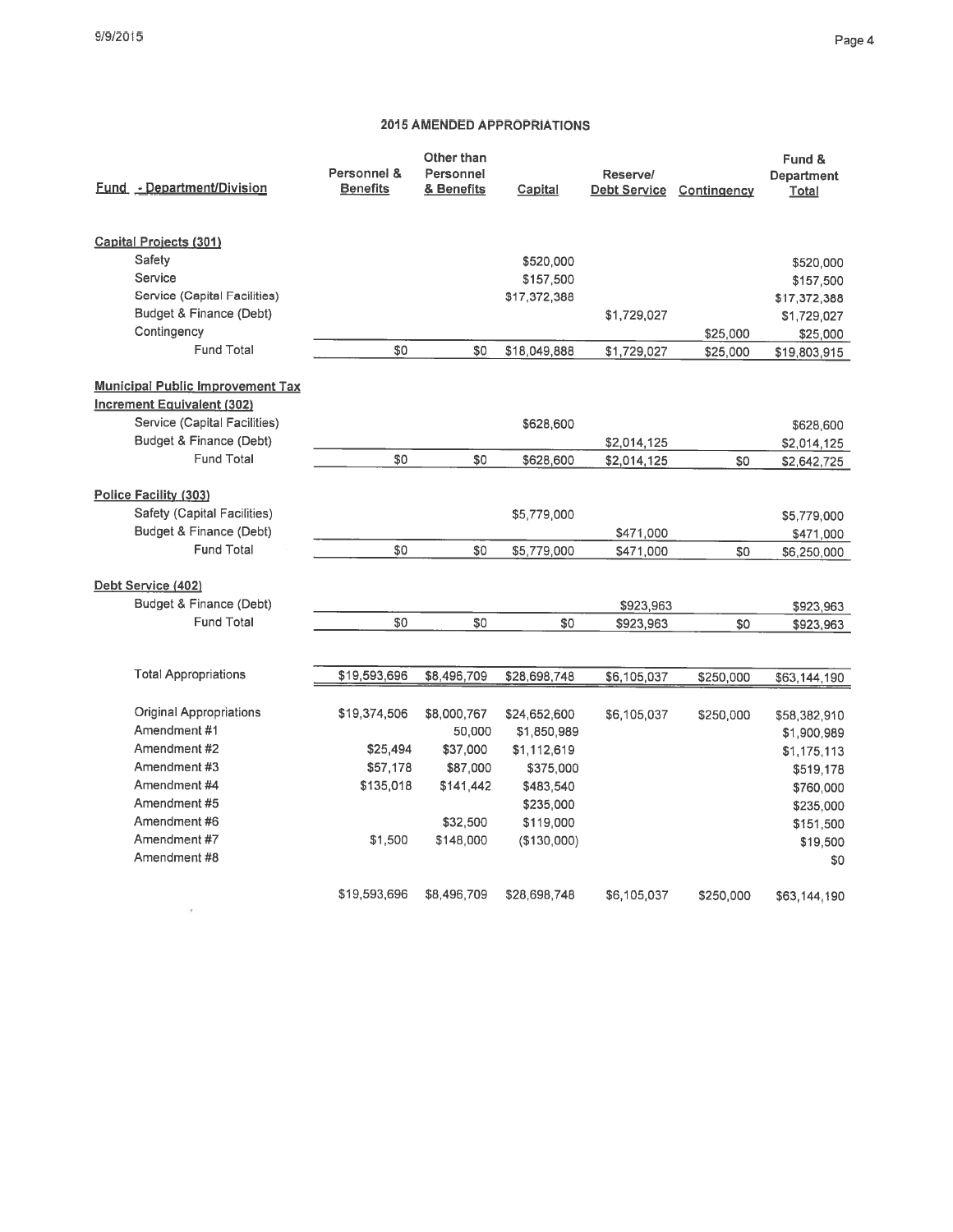### Page 4

|                                         |                 | Other than  |              |                     |             | Fund &            |
|-----------------------------------------|-----------------|-------------|--------------|---------------------|-------------|-------------------|
|                                         | Personnel &     | Personnel   |              | Reserve/            |             | <b>Department</b> |
| <b>Fund - Department/Division</b>       | <b>Benefits</b> | & Benefits  | Capital      | <b>Debt Service</b> | Contingency | Total             |
| <b>Capital Projects (301)</b>           |                 |             |              |                     |             |                   |
| Safety                                  |                 |             | \$520,000    |                     |             | \$520,000         |
| Service                                 |                 |             | \$157,500    |                     |             | \$157,500         |
| Service (Capital Facilities)            |                 |             | \$17,372,388 |                     |             | \$17,372,388      |
| Budget & Finance (Debt)                 |                 |             |              | \$1,729,027         |             | \$1,729,027       |
| Contingency                             |                 |             |              |                     | \$25,000    | \$25,000          |
| <b>Fund Total</b>                       | \$0             | \$0         | \$18,049,888 | \$1,729,027         | \$25,000    | \$19,803,915      |
| <b>Municipal Public Improvement Tax</b> |                 |             |              |                     |             |                   |
| <b>Increment Equivalent (302)</b>       |                 |             |              |                     |             |                   |
| Service (Capital Facilities)            |                 |             | \$628,600    |                     |             | \$628,600         |
| Budget & Finance (Debt)                 |                 |             |              | \$2,014,125         |             | \$2,014,125       |
| <b>Fund Total</b>                       | \$0             | \$0         | \$628,600    | \$2,014,125         | \$0         | \$2,642,725       |
|                                         |                 |             |              |                     |             |                   |
| Police Facility (303)                   |                 |             |              |                     |             |                   |
| Safety (Capital Facilities)             |                 |             | \$5,779,000  |                     |             | \$5,779,000       |
| Budget & Finance (Debt)                 |                 |             |              | \$471,000           |             | \$471,000         |
| <b>Fund Total</b>                       | \$0             | \$0         | \$5,779,000  | \$471,000           | \$0         | \$6,250,000       |
| Debt Service (402)                      |                 |             |              |                     |             |                   |
| Budget & Finance (Debt)                 |                 |             |              | \$923,963           |             | \$923,963         |
| <b>Fund Total</b>                       | \$0             | \$0         | \$0          | \$923,963           | \$0         | \$923,963         |
|                                         |                 |             |              |                     |             |                   |
| <b>Total Appropriations</b>             | \$19,593,696    | \$8,496,709 | \$28,698,748 | \$6,105,037         | \$250,000   | \$63,144,190      |
| Original Appropriations                 | \$19,374,506    | \$8,000,767 | \$24,652,600 | \$6,105,037         | \$250,000   | \$58,382,910      |
| Amendment#1                             |                 | 50,000      | \$1,850,989  |                     |             | \$1,900,989       |
| Amendment #2                            | \$25,494        | \$37,000    | \$1,112,619  |                     |             | \$1,175,113       |
| Amendment #3                            | \$57,178        | \$87,000    | \$375,000    |                     |             | \$519,178         |
| Amendment #4                            | \$135,018       | \$141,442   | \$483,540    |                     |             | \$760,000         |
| Amendment #5                            |                 |             | \$235,000    |                     |             | \$235,000         |
| Amendment #6                            |                 | \$32,500    | \$119,000    |                     |             | \$151,500         |
| Amendment #7                            | \$1,500         | \$148,000   | (\$130,000)  |                     |             | \$19,500          |
| Amendment#8                             |                 |             |              |                     |             | \$0               |
|                                         | \$19,593,696    | \$8,496,709 | \$28,698,748 | \$6,105,037         | \$250,000   | \$63,144,190      |
|                                         |                 |             |              |                     |             |                   |